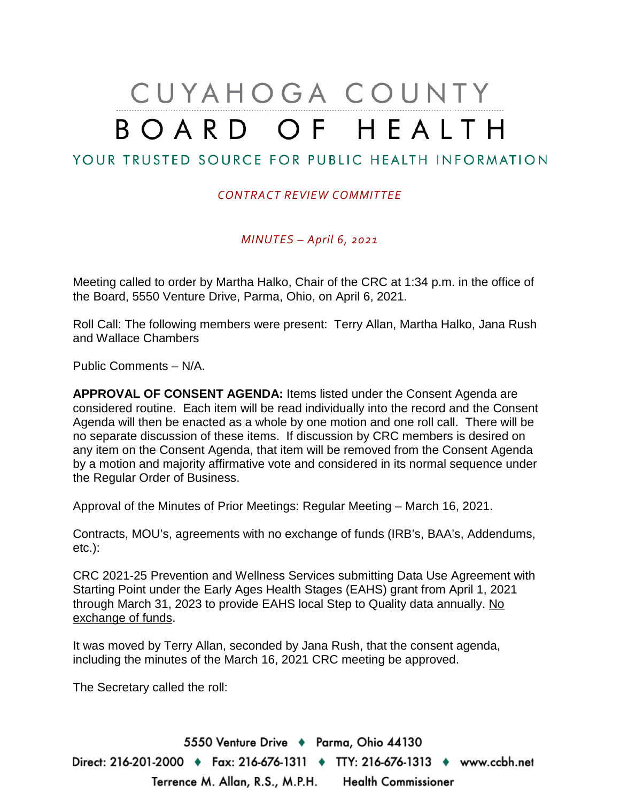# CUYAHOGA COUNTY BOARD OF HEALTH

# YOUR TRUSTED SOURCE FOR PUBLIC HEALTH INFORMATION

#### *CONTRACT REVIEW COMMITTEE*

*MINUTES – April 6, 2021*

Meeting called to order by Martha Halko, Chair of the CRC at 1:34 p.m. in the office of the Board, 5550 Venture Drive, Parma, Ohio, on April 6, 2021.

Roll Call: The following members were present: Terry Allan, Martha Halko, Jana Rush and Wallace Chambers

Public Comments – N/A.

**APPROVAL OF CONSENT AGENDA:** Items listed under the Consent Agenda are considered routine. Each item will be read individually into the record and the Consent Agenda will then be enacted as a whole by one motion and one roll call. There will be no separate discussion of these items. If discussion by CRC members is desired on any item on the Consent Agenda, that item will be removed from the Consent Agenda by a motion and majority affirmative vote and considered in its normal sequence under the Regular Order of Business.

Approval of the Minutes of Prior Meetings: Regular Meeting – March 16, 2021.

Contracts, MOU's, agreements with no exchange of funds (IRB's, BAA's, Addendums, etc.):

CRC 2021-25 Prevention and Wellness Services submitting Data Use Agreement with Starting Point under the Early Ages Health Stages (EAHS) grant from April 1, 2021 through March 31, 2023 to provide EAHS local Step to Quality data annually. No exchange of funds.

It was moved by Terry Allan, seconded by Jana Rush, that the consent agenda, including the minutes of the March 16, 2021 CRC meeting be approved.

The Secretary called the roll:

5550 Venture Drive + Parma, Ohio 44130 Direct: 216-201-2000 ♦ Fax: 216-676-1311 ♦ TTY: 216-676-1313 ♦ www.ccbh.net Terrence M. Allan, R.S., M.P.H. Health Commissioner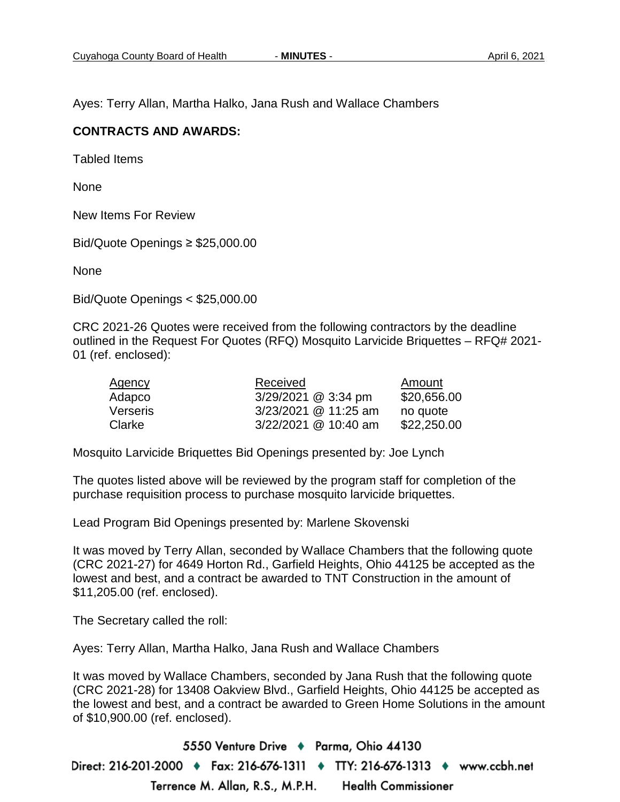Ayes: Terry Allan, Martha Halko, Jana Rush and Wallace Chambers

#### **CONTRACTS AND AWARDS:**

Tabled Items

None

New Items For Review

Bid/Quote Openings ≥ \$25,000.00

None

Bid/Quote Openings < \$25,000.00

CRC 2021-26 Quotes were received from the following contractors by the deadline outlined in the Request For Quotes (RFQ) Mosquito Larvicide Briquettes – RFQ# 2021- 01 (ref. enclosed):

| Agency   | Received             | Amount      |
|----------|----------------------|-------------|
| Adapco   | 3/29/2021 @ 3:34 pm  | \$20,656.00 |
| Verseris | 3/23/2021 @ 11:25 am | no quote    |
| Clarke   | 3/22/2021 @ 10:40 am | \$22,250.00 |

Mosquito Larvicide Briquettes Bid Openings presented by: Joe Lynch

The quotes listed above will be reviewed by the program staff for completion of the purchase requisition process to purchase mosquito larvicide briquettes.

Lead Program Bid Openings presented by: Marlene Skovenski

It was moved by Terry Allan, seconded by Wallace Chambers that the following quote (CRC 2021-27) for 4649 Horton Rd., Garfield Heights, Ohio 44125 be accepted as the lowest and best, and a contract be awarded to TNT Construction in the amount of \$11,205.00 (ref. enclosed).

The Secretary called the roll:

Ayes: Terry Allan, Martha Halko, Jana Rush and Wallace Chambers

It was moved by Wallace Chambers, seconded by Jana Rush that the following quote (CRC 2021-28) for 13408 Oakview Blvd., Garfield Heights, Ohio 44125 be accepted as the lowest and best, and a contract be awarded to Green Home Solutions in the amount of \$10,900.00 (ref. enclosed).

5550 Venture Drive + Parma, Ohio 44130 Direct: 216-201-2000 ♦ Fax: 216-676-1311 ♦ TTY: 216-676-1313 ♦ www.ccbh.net Terrence M. Allan, R.S., M.P.H. **Health Commissioner**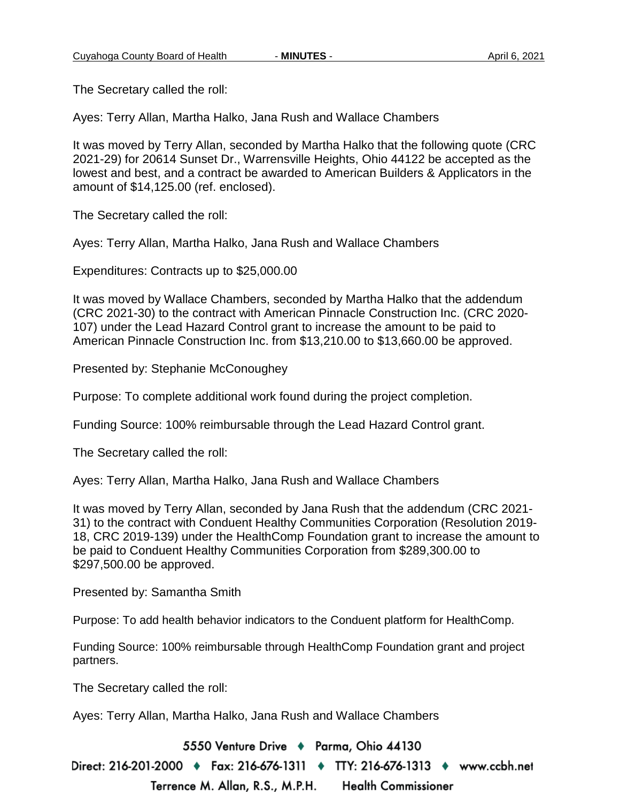The Secretary called the roll:

Ayes: Terry Allan, Martha Halko, Jana Rush and Wallace Chambers

It was moved by Terry Allan, seconded by Martha Halko that the following quote (CRC 2021-29) for 20614 Sunset Dr., Warrensville Heights, Ohio 44122 be accepted as the lowest and best, and a contract be awarded to American Builders & Applicators in the amount of \$14,125.00 (ref. enclosed).

The Secretary called the roll:

Ayes: Terry Allan, Martha Halko, Jana Rush and Wallace Chambers

Expenditures: Contracts up to \$25,000.00

It was moved by Wallace Chambers, seconded by Martha Halko that the addendum (CRC 2021-30) to the contract with American Pinnacle Construction Inc. (CRC 2020- 107) under the Lead Hazard Control grant to increase the amount to be paid to American Pinnacle Construction Inc. from \$13,210.00 to \$13,660.00 be approved.

Presented by: Stephanie McConoughey

Purpose: To complete additional work found during the project completion.

Funding Source: 100% reimbursable through the Lead Hazard Control grant.

The Secretary called the roll:

Ayes: Terry Allan, Martha Halko, Jana Rush and Wallace Chambers

It was moved by Terry Allan, seconded by Jana Rush that the addendum (CRC 2021- 31) to the contract with Conduent Healthy Communities Corporation (Resolution 2019- 18, CRC 2019-139) under the HealthComp Foundation grant to increase the amount to be paid to Conduent Healthy Communities Corporation from \$289,300.00 to \$297,500.00 be approved.

Presented by: Samantha Smith

Purpose: To add health behavior indicators to the Conduent platform for HealthComp.

Funding Source: 100% reimbursable through HealthComp Foundation grant and project partners.

The Secretary called the roll:

Ayes: Terry Allan, Martha Halko, Jana Rush and Wallace Chambers

5550 Venture Drive + Parma, Ohio 44130

Direct: 216-201-2000 ♦ Fax: 216-676-1311 ♦ TTY: 216-676-1313 ♦ www.ccbh.net Terrence M. Allan, R.S., M.P.H. **Health Commissioner**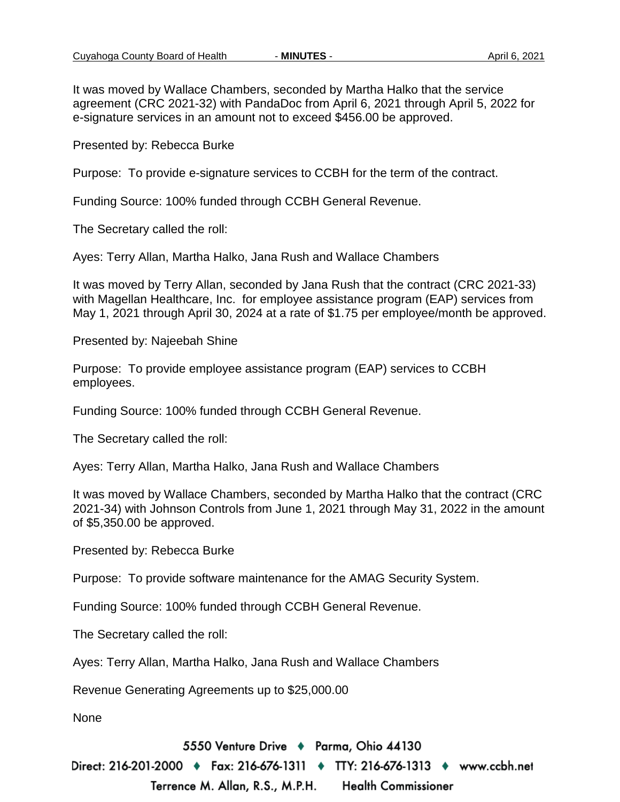It was moved by Wallace Chambers, seconded by Martha Halko that the service agreement (CRC 2021-32) with PandaDoc from April 6, 2021 through April 5, 2022 for e-signature services in an amount not to exceed \$456.00 be approved.

Presented by: Rebecca Burke

Purpose: To provide e-signature services to CCBH for the term of the contract.

Funding Source: 100% funded through CCBH General Revenue.

The Secretary called the roll:

Ayes: Terry Allan, Martha Halko, Jana Rush and Wallace Chambers

It was moved by Terry Allan, seconded by Jana Rush that the contract (CRC 2021-33) with Magellan Healthcare, Inc. for employee assistance program (EAP) services from May 1, 2021 through April 30, 2024 at a rate of \$1.75 per employee/month be approved.

Presented by: Najeebah Shine

Purpose: To provide employee assistance program (EAP) services to CCBH employees.

Funding Source: 100% funded through CCBH General Revenue.

The Secretary called the roll:

Ayes: Terry Allan, Martha Halko, Jana Rush and Wallace Chambers

It was moved by Wallace Chambers, seconded by Martha Halko that the contract (CRC 2021-34) with Johnson Controls from June 1, 2021 through May 31, 2022 in the amount of \$5,350.00 be approved.

Presented by: Rebecca Burke

Purpose: To provide software maintenance for the AMAG Security System.

Funding Source: 100% funded through CCBH General Revenue.

The Secretary called the roll:

Ayes: Terry Allan, Martha Halko, Jana Rush and Wallace Chambers

Revenue Generating Agreements up to \$25,000.00

None

5550 Venture Drive + Parma, Ohio 44130

Direct: 216-201-2000 ♦ Fax: 216-676-1311 ♦ TTY: 216-676-1313 ♦ www.ccbh.net

Terrence M. Allan, R.S., M.P.H. **Health Commissioner**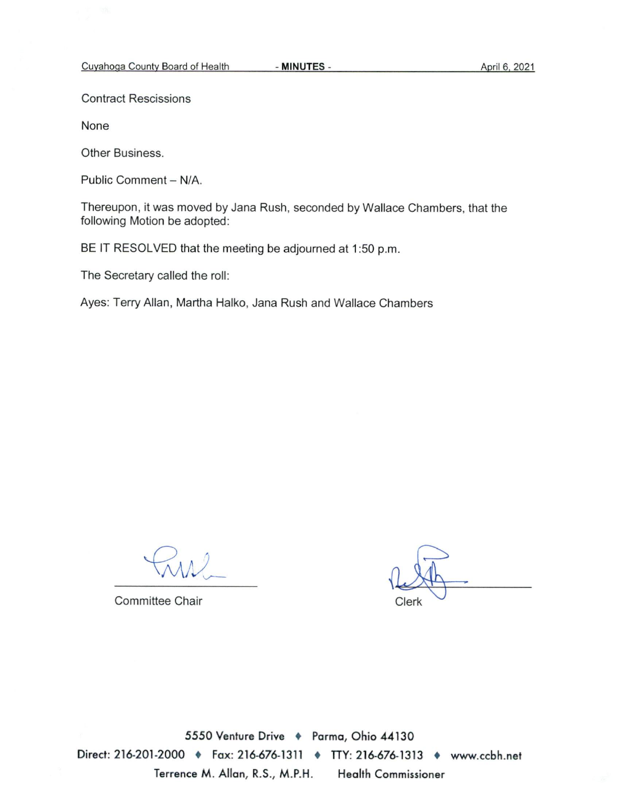**Contract Rescissions** 

None

Other Business.

Public Comment - N/A.

Thereupon, it was moved by Jana Rush, seconded by Wallace Chambers, that the following Motion be adopted:

BE IT RESOLVED that the meeting be adjourned at 1:50 p.m.

The Secretary called the roll:

Ayes: Terry Allan, Martha Halko, Jana Rush and Wallace Chambers

Committee Chair

Clerk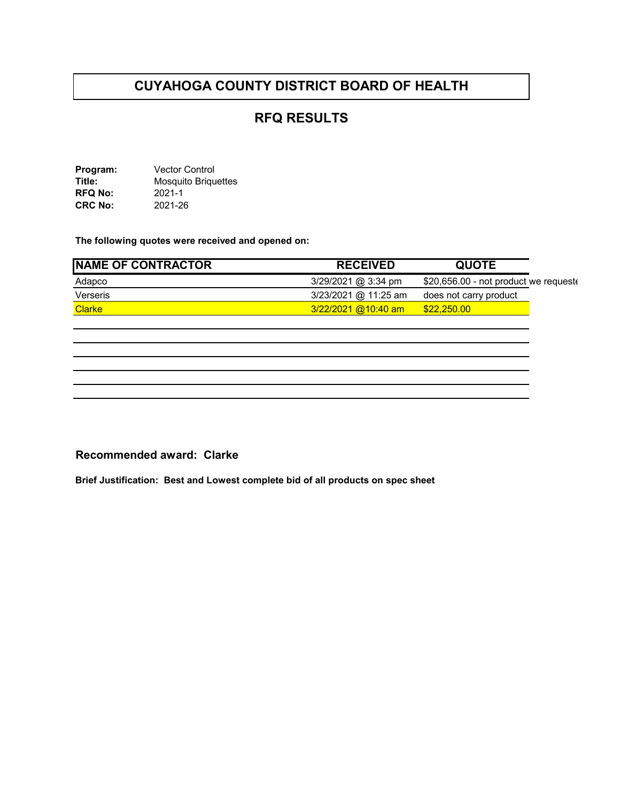## **RFQ RESULTS**

**Program:** Vector Control **Title:** Mosquito Briquettes **RFQ No:** 2021-1<br>**CRC No:** 2021-26 **CRC No:** 

**The following quotes were received and opened on:** 

| <b>NAME OF CONTRACTOR</b> | <b>RECEIVED</b>       | <b>QUOTE</b>                          |  |
|---------------------------|-----------------------|---------------------------------------|--|
| Adapco                    | $3/29/2021$ @ 3:34 pm | \$20,656.00 - not product we requeste |  |
| Verseris                  | 3/23/2021 @ 11:25 am  | does not carry product                |  |
| <b>Clarke</b>             | 3/22/2021 @10:40 am   | \$22,250.00                           |  |

#### **Recommended award: Clarke**

**Brief Justification: Best and Lowest complete bid of all products on spec sheet**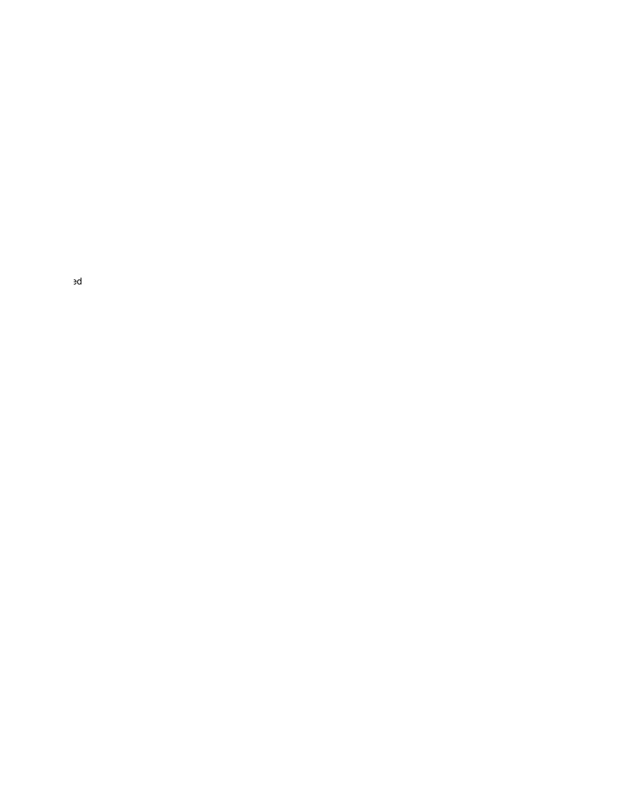ed and the state of the state of the state of the state of the state of the state of the state of the state of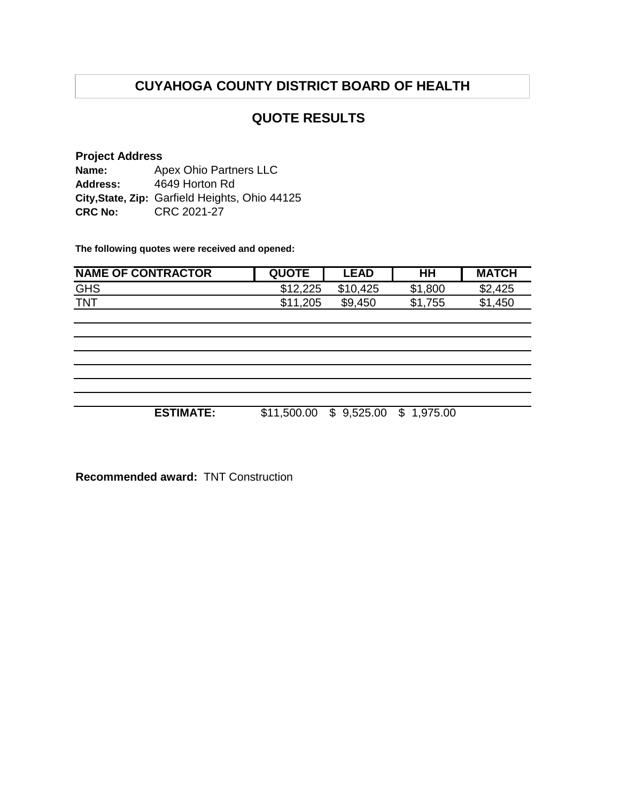#### **QUOTE RESULTS**

#### **Project Address Name: Address: City,State, Zip:** Garfield Heights, Ohio 44125 **CRC No:** CRC 2021-27 Apex Ohio Partners LLC 4649 Horton Rd

**The following quotes were received and opened:**

| <b>NAME OF CONTRACTOR</b> | <b>QUOTE</b> | <b>LEAD</b>                         | $H$ H   | <b>MATCH</b> |
|---------------------------|--------------|-------------------------------------|---------|--------------|
| <b>GHS</b>                | \$12,225     | \$10,425                            | \$1,800 | \$2,425      |
| <b>TNT</b>                | \$11,205     | \$9,450                             | \$1,755 | \$1,450      |
|                           |              |                                     |         |              |
|                           |              |                                     |         |              |
|                           |              |                                     |         |              |
|                           |              |                                     |         |              |
|                           |              |                                     |         |              |
|                           |              |                                     |         |              |
| <b>ESTIMATE:</b>          |              | \$11,500.00 \$ 9,525.00 \$ 1,975.00 |         |              |

**Recommended award:** TNT Construction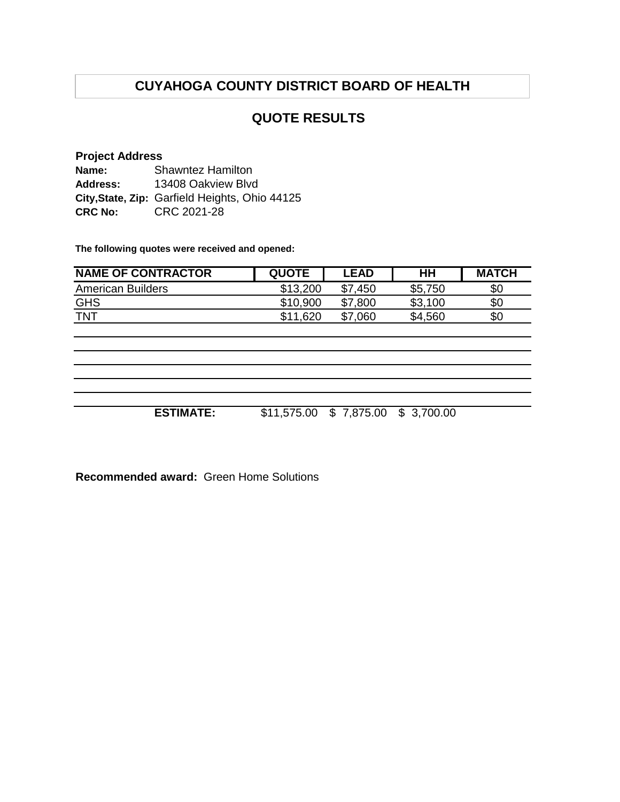## **QUOTE RESULTS**

#### **Project Address**

| Name:          | <b>Shawntez Hamilton</b>                       |  |  |
|----------------|------------------------------------------------|--|--|
| Address:       | 13408 Oakview Blvd                             |  |  |
|                | City, State, Zip: Garfield Heights, Ohio 44125 |  |  |
| <b>CRC No:</b> | CRC 2021-28                                    |  |  |

**The following quotes were received and opened:**

| <b>NAME OF CONTRACTOR</b> | <b>QUOTE</b> | <b>LEAD</b> | HН      | <b>MATCH</b> |
|---------------------------|--------------|-------------|---------|--------------|
| <b>American Builders</b>  | \$13,200     | \$7<br>.450 | \$5,750 | \$0          |
| <b>GHS</b>                | \$10,900     | \$7,800     | \$3,100 | \$0          |
| <b>TNT</b>                | \$11.620     | \$7<br>.060 | \$4,560 | \$0          |
|                           |              |             |         |              |

**ESTIMATE:** \$11,575.00 \$ 7,875.00 \$ 3,700.00

**Recommended award:** Green Home Solutions